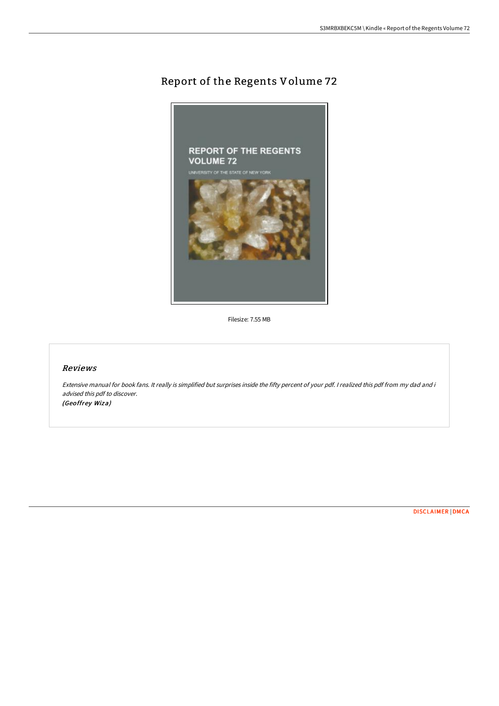## Report of the Regents Volume 72



Filesize: 7.55 MB

## Reviews

Extensive manual for book fans. It really is simplified but surprises inside the fifty percent of your pdf. I realized this pdf from my dad and i advised this pdf to discover. (Geoffrey Wiza)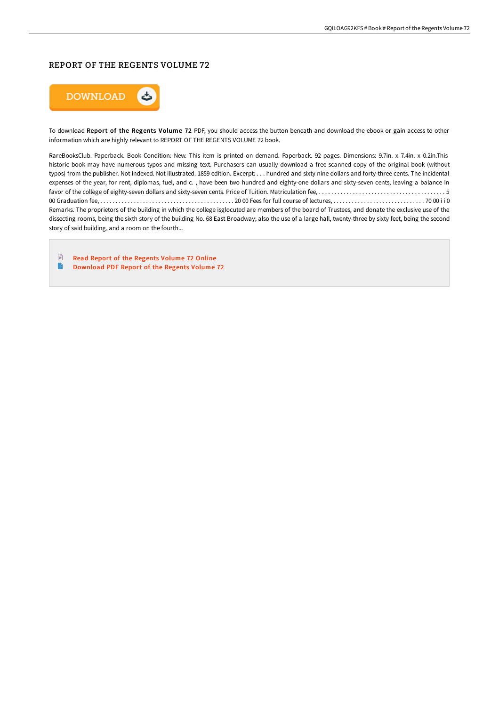## REPORT OF THE REGENTS VOLUME 72



To download Report of the Regents Volume 72 PDF, you should access the button beneath and download the ebook or gain access to other information which are highly relevant to REPORT OF THE REGENTS VOLUME 72 book.

RareBooksClub. Paperback. Book Condition: New. This item is printed on demand. Paperback. 92 pages. Dimensions: 9.7in. x 7.4in. x 0.2in.This historic book may have numerous typos and missing text. Purchasers can usually download a free scanned copy of the original book (without typos) from the publisher. Not indexed. Not illustrated. 1859 edition. Excerpt: . . . hundred and sixty nine dollars and forty-three cents. The incidental expenses of the year, for rent, diplomas, fuel, and c. , have been two hundred and eighty-one dollars and sixty-seven cents, leaving a balance in favor of the college of eighty-seven dollars and sixty-seven cents. Price of Tuition. Matriculation fee, . . . . . . . . . . . . . . . . . . . . . . . . . . . . . . . . . . . . . . . . . 5 00 Graduation fee, . . . . . . . . . . . . . . . . . . . . . . . . . . . . . . . . . . . . . . . . . . . . 20 00 Fees for full course of lectures, . . . . . . . . . . . . . . . . . . . . . . . . . . . . . . 70 00 i i 0 Remarks. The proprietors of the building in which the college isglocuted are members of the board of Trustees, and donate the exclusive use of the dissecting rooms, being the sixth story of the building No. 68 East Broadway; also the use of a large hall, twenty-three by sixty feet, being the second story of said building, and a room on the fourth...

 $\begin{tabular}{|c|c|} \hline \multicolumn{3}{|c|}{\textbf{1}} & \multicolumn{3}{|c|}{\textbf{2}} \\ \hline \multicolumn{3}{|c|}{\textbf{3}} & \multicolumn{3}{|c|}{\textbf{4}} \\ \hline \multicolumn{3}{|c|}{\textbf{5}} & \multicolumn{3}{|c|}{\textbf{6}} \\ \hline \multicolumn{3}{|c|}{\textbf{6}} & \multicolumn{3}{|c|}{\textbf{7}} \\ \hline \multicolumn{3}{|c|}{\textbf{6}} & \multicolumn{3}{|c|}{\textbf{7}} \\ \hline \multicolumn{3}{|c|$ Read Report of the [Regents](http://albedo.media/report-of-the-regents-volume-72.html) Volume 72 Online  $\blacksquare$ [Download](http://albedo.media/report-of-the-regents-volume-72.html) PDF Report of the Regents Volume 72